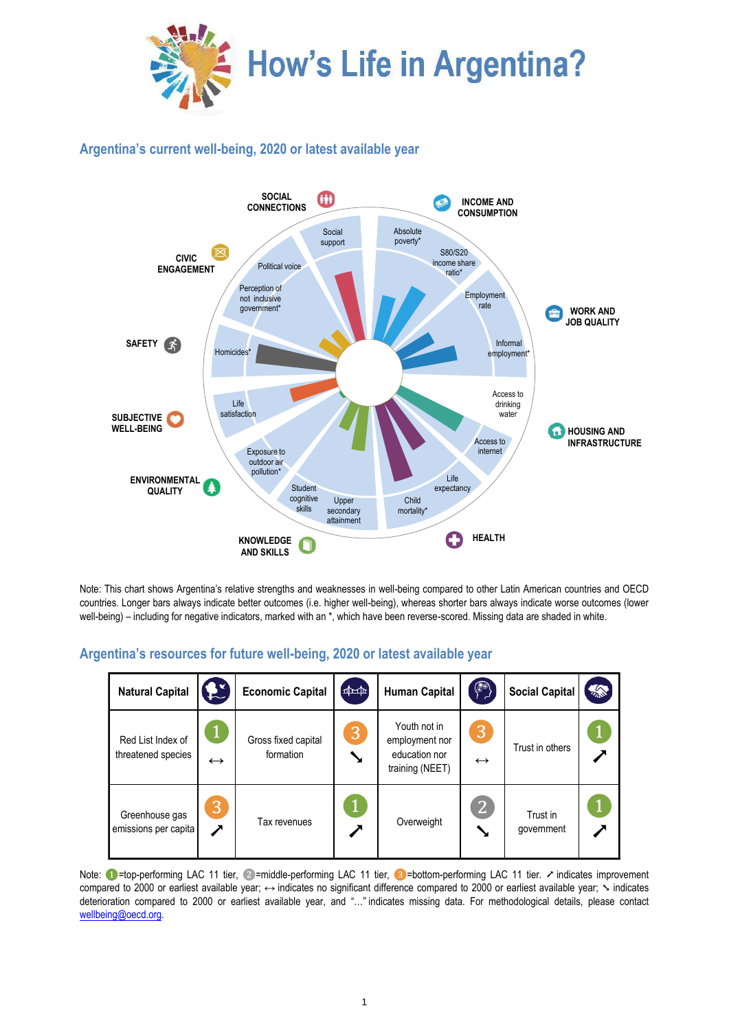

## **Argentina's current well-being, 2020 or latest available year**



Note: This chart shows Argentina's relative strengths and weaknesses in well-being compared to other Latin American countries and OECD countries. Longer bars always indicate better outcomes (i.e. higher well-being), whereas shorter bars always indicate worse outcomes (lower well-being) – including for negative indicators, marked with an \*, which have been reverse-scored. Missing data are shaded in white.

| <b>Natural Capital</b>                  | <b>SE</b>         | <b>Economic Capital</b>          | $(\pm 1)$ | <b>Human Capital</b>                                               | $\left(\begin{matrix} 1 & 1 \\ 1 & 1 \end{matrix}\right)$ | <b>Social Capital</b>  | $\frac{1}{2}$ |
|-----------------------------------------|-------------------|----------------------------------|-----------|--------------------------------------------------------------------|-----------------------------------------------------------|------------------------|---------------|
| Red List Index of<br>threatened species | $\leftrightarrow$ | Gross fixed capital<br>formation | 3         | Youth not in<br>employment nor<br>education nor<br>training (NEET) | 3<br>$\leftrightarrow$                                    | Trust in others        |               |
| Greenhouse gas<br>emissions per capita  | 3<br>╱            | Tax revenues                     |           | Overweight                                                         | 2 <br>Y                                                   | Trust in<br>government |               |

## **Argentina's resources for future well-being, 2020 or latest available year**

Note: ●=top-performing LAC 11 tier, ②=middle-performing LAC 11 tier, ③=bottom-performing LAC 11 tier. ↗ indicates improvement compared to 2000 or earliest available year; ↔ indicates no significant difference compared to 2000 or earliest available year; ╲ indicates deterioration compared to 2000 or earliest available year, and "…" indicates missing data. For methodological details, please contact [wellbeing@oecd.org.](mailto:wellbeing@oecd.org)